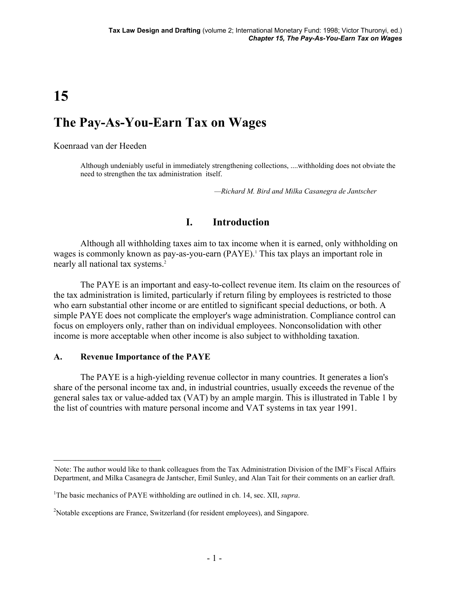# **15**

 $\overline{a}$ 

## **The Pay-As-You-Earn Tax on Wages**

Koenraad van der Heeden

Although undeniably useful in immediately strengthening collections, ....withholding does not obviate the need to strengthen the tax administration itself.

 *—Richard M. Bird and Milka Casanegra de Jantscher* 

### **I. Introduction**

 Although all withholding taxes aim to tax income when it is earned, only withholding on wages is commonly known as pay-as-you-earn (PAYE).<sup>1</sup> This tax plays an important role in nearly all national tax systems.<sup>2</sup>

 The PAYE is an important and easy-to-collect revenue item. Its claim on the resources of the tax administration is limited, particularly if return filing by employees is restricted to those who earn substantial other income or are entitled to significant special deductions, or both. A simple PAYE does not complicate the employer's wage administration. Compliance control can focus on employers only, rather than on individual employees. Nonconsolidation with other income is more acceptable when other income is also subject to withholding taxation.

#### **A. Revenue Importance of the PAYE**

 The PAYE is a high-yielding revenue collector in many countries. It generates a lion's share of the personal income tax and, in industrial countries, usually exceeds the revenue of the general sales tax or value-added tax (VAT) by an ample margin. This is illustrated in Table 1 by the list of countries with mature personal income and VAT systems in tax year 1991.

Note: The author would like to thank colleagues from the Tax Administration Division of the IMF's Fiscal Affairs Department, and Milka Casanegra de Jantscher, Emil Sunley, and Alan Tait for their comments on an earlier draft.

<sup>&</sup>lt;sup>1</sup>The basic mechanics of PAYE withholding are outlined in ch. 14, sec. XII, *supra*.

<sup>&</sup>lt;sup>2</sup>Notable exceptions are France, Switzerland (for resident employees), and Singapore.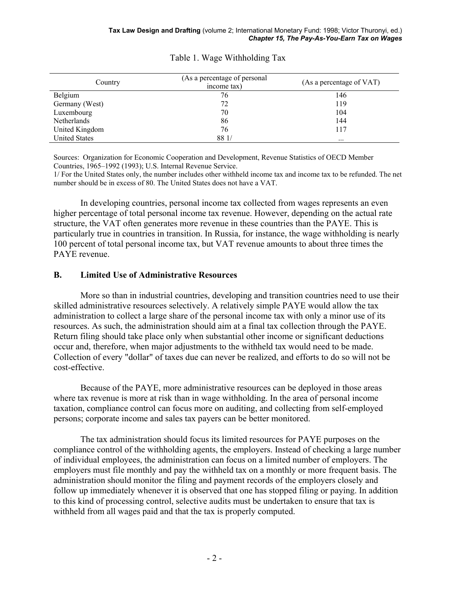| Country              | (As a percentage of personal<br>income tax) | (As a percentage of VAT) |
|----------------------|---------------------------------------------|--------------------------|
| Belgium              | 76                                          | 146                      |
| Germany (West)       | 72                                          | 119                      |
| Luxembourg           | 70                                          | 104                      |
| Netherlands          | 86                                          | 144                      |
| United Kingdom       | 76                                          | 117                      |
| <b>United States</b> | 88 1/                                       | $\cdots$                 |

### Table 1. Wage Withholding Tax

Sources: Organization for Economic Cooperation and Development, Revenue Statistics of OECD Member Countries, 1965–1992 (1993); U.S. Internal Revenue Service.

1/ For the United States only, the number includes other withheld income tax and income tax to be refunded. The net number should be in excess of 80. The United States does not have a VAT.

 In developing countries, personal income tax collected from wages represents an even higher percentage of total personal income tax revenue. However, depending on the actual rate structure, the VAT often generates more revenue in these countries than the PAYE. This is particularly true in countries in transition. In Russia, for instance, the wage withholding is nearly 100 percent of total personal income tax, but VAT revenue amounts to about three times the PAYE revenue.

#### **B. Limited Use of Administrative Resources**

 More so than in industrial countries, developing and transition countries need to use their skilled administrative resources selectively. A relatively simple PAYE would allow the tax administration to collect a large share of the personal income tax with only a minor use of its resources. As such, the administration should aim at a final tax collection through the PAYE. Return filing should take place only when substantial other income or significant deductions occur and, therefore, when major adjustments to the withheld tax would need to be made. Collection of every "dollar" of taxes due can never be realized, and efforts to do so will not be cost-effective.

 Because of the PAYE, more administrative resources can be deployed in those areas where tax revenue is more at risk than in wage withholding. In the area of personal income taxation, compliance control can focus more on auditing, and collecting from self-employed persons; corporate income and sales tax payers can be better monitored.

 The tax administration should focus its limited resources for PAYE purposes on the compliance control of the withholding agents, the employers. Instead of checking a large number of individual employees, the administration can focus on a limited number of employers. The employers must file monthly and pay the withheld tax on a monthly or more frequent basis. The administration should monitor the filing and payment records of the employers closely and follow up immediately whenever it is observed that one has stopped filing or paying. In addition to this kind of processing control, selective audits must be undertaken to ensure that tax is withheld from all wages paid and that the tax is properly computed.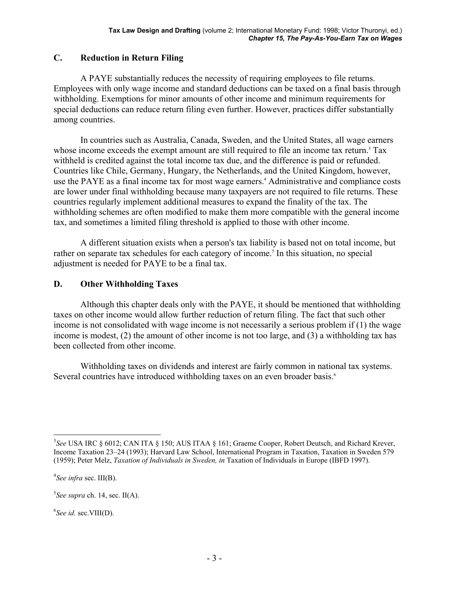### **C. Reduction in Return Filing**

 A PAYE substantially reduces the necessity of requiring employees to file returns. Employees with only wage income and standard deductions can be taxed on a final basis through withholding. Exemptions for minor amounts of other income and minimum requirements for special deductions can reduce return filing even further. However, practices differ substantially among countries.

 In countries such as Australia, Canada, Sweden, and the United States, all wage earners whose income exceeds the exempt amount are still required to file an income tax return.<sup>3</sup> Tax withheld is credited against the total income tax due, and the difference is paid or refunded. Countries like Chile, Germany, Hungary, the Netherlands, and the United Kingdom, however, use the PAYE as a final income tax for most wage earners.<sup>4</sup> Administrative and compliance costs are lower under final withholding because many taxpayers are not required to file returns. These countries regularly implement additional measures to expand the finality of the tax. The withholding schemes are often modified to make them more compatible with the general income tax, and sometimes a limited filing threshold is applied to those with other income.

 A different situation exists when a person's tax liability is based not on total income, but rather on separate tax schedules for each category of income.<sup>5</sup> In this situation, no special adjustment is needed for PAYE to be a final tax.

### **D. Other Withholding Taxes**

 Although this chapter deals only with the PAYE, it should be mentioned that withholding taxes on other income would allow further reduction of return filing. The fact that such other income is not consolidated with wage income is not necessarily a serious problem if (1) the wage income is modest, (2) the amount of other income is not too large, and (3) a withholding tax has been collected from other income.

 Withholding taxes on dividends and interest are fairly common in national tax systems. Several countries have introduced withholding taxes on an even broader basis.<sup>6</sup>

 $\overline{a}$ 

6 *See id.* sec.VIII(D).

<sup>3</sup> *See* USA IRC § 6012; CAN ITA § 150; AUS ITAA § 161; Graeme Cooper, Robert Deutsch, and Richard Krever, Income Taxation 23–24 (1993); Harvard Law School, International Program in Taxation, Taxation in Sweden 579 (1959); Peter Melz, *Taxation of Individuals in Sweden, in* Taxation of Individuals in Europe (IBFD 1997).

<sup>4</sup> *See infra* sec. III(B).

 ${}^5$ *See supra* ch. 14, sec. II(A).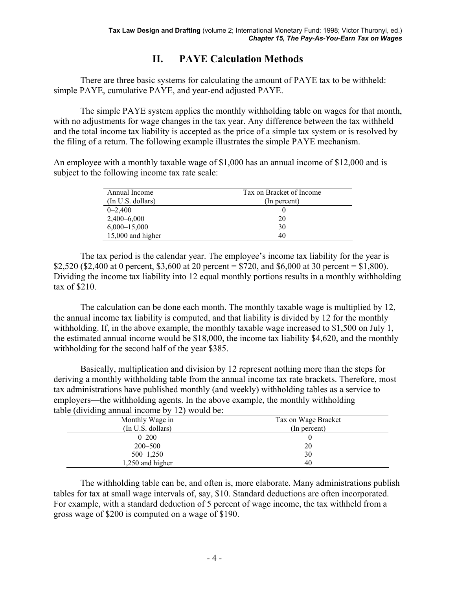### **II. PAYE Calculation Methods**

 There are three basic systems for calculating the amount of PAYE tax to be withheld: simple PAYE, cumulative PAYE, and year-end adjusted PAYE.

 The simple PAYE system applies the monthly withholding table on wages for that month, with no adjustments for wage changes in the tax year. Any difference between the tax withheld and the total income tax liability is accepted as the price of a simple tax system or is resolved by the filing of a return. The following example illustrates the simple PAYE mechanism.

An employee with a monthly taxable wage of \$1,000 has an annual income of \$12,000 and is subject to the following income tax rate scale:

| Annual Income     | Tax on Bracket of Income |
|-------------------|--------------------------|
| (In U.S. dollars) | (In percent)             |
| $0 - 2,400$       |                          |
| $2,400 - 6,000$   | 20                       |
| $6,000 - 15,000$  | 30                       |
| 15,000 and higher | 40                       |

 The tax period is the calendar year. The employee's income tax liability for the year is \$2,520 (\$2,400 at 0 percent, \$3,600 at 20 percent = \$720, and \$6,000 at 30 percent = \$1,800). Dividing the income tax liability into 12 equal monthly portions results in a monthly withholding tax of \$210.

 The calculation can be done each month. The monthly taxable wage is multiplied by 12, the annual income tax liability is computed, and that liability is divided by 12 for the monthly withholding. If, in the above example, the monthly taxable wage increased to \$1,500 on July 1, the estimated annual income would be \$18,000, the income tax liability \$4,620, and the monthly withholding for the second half of the year \$385.

 Basically, multiplication and division by 12 represent nothing more than the steps for deriving a monthly withholding table from the annual income tax rate brackets. Therefore, most tax administrations have published monthly (and weekly) withholding tables as a service to employers—the withholding agents. In the above example, the monthly withholding table (dividing annual income by 12) would be:

| Tax on Wage Bracket |
|---------------------|
| (In percent)        |
|                     |
| 20                  |
| 30                  |
| 40                  |
|                     |

 The withholding table can be, and often is, more elaborate. Many administrations publish tables for tax at small wage intervals of, say, \$10. Standard deductions are often incorporated. For example, with a standard deduction of 5 percent of wage income, the tax withheld from a gross wage of \$200 is computed on a wage of \$190.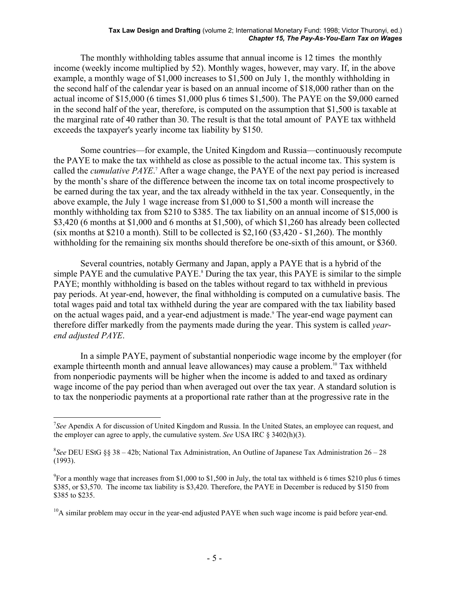#### **Tax Law Design and Drafting** (volume 2; International Monetary Fund: 1998; Victor Thuronyi, ed.) *Chapter 15, The Pay-As-You-Earn Tax on Wages*

 The monthly withholding tables assume that annual income is 12 times the monthly income (weekly income multiplied by 52). Monthly wages, however, may vary. If, in the above example, a monthly wage of \$1,000 increases to \$1,500 on July 1, the monthly withholding in the second half of the calendar year is based on an annual income of \$18,000 rather than on the actual income of \$15,000 (6 times \$1,000 plus 6 times \$1,500). The PAYE on the \$9,000 earned in the second half of the year, therefore, is computed on the assumption that \$1,500 is taxable at the marginal rate of 40 rather than 30. The result is that the total amount of PAYE tax withheld exceeds the taxpayer's yearly income tax liability by \$150.

 Some countries—for example, the United Kingdom and Russia—continuously recompute the PAYE to make the tax withheld as close as possible to the actual income tax. This system is called the *cumulative PAYE*.<sup>7</sup> After a wage change, the PAYE of the next pay period is increased by the month's share of the difference between the income tax on total income prospectively to be earned during the tax year, and the tax already withheld in the tax year. Consequently, in the above example, the July 1 wage increase from \$1,000 to \$1,500 a month will increase the monthly withholding tax from \$210 to \$385. The tax liability on an annual income of \$15,000 is \$3,420 (6 months at \$1,000 and 6 months at \$1,500), of which \$1,260 has already been collected (six months at \$210 a month). Still to be collected is  $$2,160$  (\$3,420 - \$1,260). The monthly withholding for the remaining six months should therefore be one-sixth of this amount, or \$360.

 Several countries, notably Germany and Japan, apply a PAYE that is a hybrid of the simple PAYE and the cumulative  $PAYE$ .<sup>8</sup> During the tax year, this  $PAYE$  is similar to the simple PAYE; monthly withholding is based on the tables without regard to tax withheld in previous pay periods. At year-end, however, the final withholding is computed on a cumulative basis. The total wages paid and total tax withheld during the year are compared with the tax liability based on the actual wages paid, and a year-end adjustment is made.<sup>9</sup> The year-end wage payment can therefore differ markedly from the payments made during the year. This system is called *yearend adjusted PAYE*.

 In a simple PAYE, payment of substantial nonperiodic wage income by the employer (for example thirteenth month and annual leave allowances) may cause a problem.<sup>10</sup> Tax withheld from nonperiodic payments will be higher when the income is added to and taxed as ordinary wage income of the pay period than when averaged out over the tax year. A standard solution is to tax the nonperiodic payments at a proportional rate rather than at the progressive rate in the

<sup>1</sup> 7 *See* Apendix A for discussion of United Kingdom and Russia. In the United States, an employee can request, and the employer can agree to apply, the cumulative system. *See* USA IRC § 3402(h)(3).

<sup>8</sup> *See* DEU EStG §§ 38 – 42b; National Tax Administration, An Outline of Japanese Tax Administration 26 – 28 (1993).

 $9^9$ For a monthly wage that increases from \$1,000 to \$1,500 in July, the total tax withheld is 6 times \$210 plus 6 times \$385, or \$3,570. The income tax liability is \$3,420. Therefore, the PAYE in December is reduced by \$150 from \$385 to \$235.

 $^{10}$ A similar problem may occur in the year-end adjusted PAYE when such wage income is paid before year-end.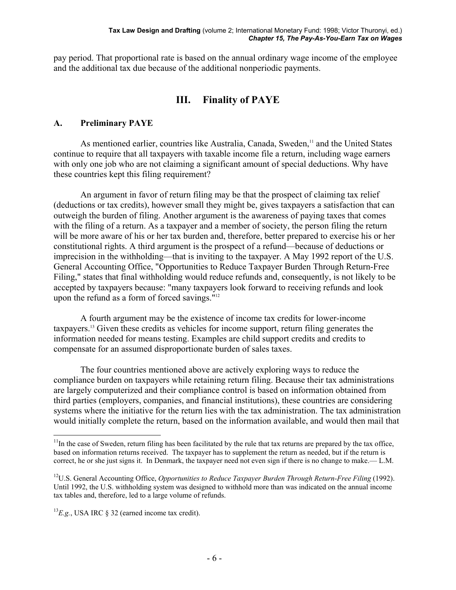pay period. That proportional rate is based on the annual ordinary wage income of the employee and the additional tax due because of the additional nonperiodic payments.

### **III. Finality of PAYE**

### **A. Preliminary PAYE**

As mentioned earlier, countries like Australia, Canada, Sweden,<sup>11</sup> and the United States continue to require that all taxpayers with taxable income file a return, including wage earners with only one job who are not claiming a significant amount of special deductions. Why have these countries kept this filing requirement?

 An argument in favor of return filing may be that the prospect of claiming tax relief (deductions or tax credits), however small they might be, gives taxpayers a satisfaction that can outweigh the burden of filing. Another argument is the awareness of paying taxes that comes with the filing of a return. As a taxpayer and a member of society, the person filing the return will be more aware of his or her tax burden and, therefore, better prepared to exercise his or her constitutional rights. A third argument is the prospect of a refund—because of deductions or imprecision in the withholding—that is inviting to the taxpayer. A May 1992 report of the U.S. General Accounting Office, "Opportunities to Reduce Taxpayer Burden Through Return-Free Filing," states that final withholding would reduce refunds and, consequently, is not likely to be accepted by taxpayers because: "many taxpayers look forward to receiving refunds and look upon the refund as a form of forced savings."<sup>12</sup>

 A fourth argument may be the existence of income tax credits for lower-income taxpayers.13 Given these credits as vehicles for income support, return filing generates the information needed for means testing. Examples are child support credits and credits to compensate for an assumed disproportionate burden of sales taxes.

 The four countries mentioned above are actively exploring ways to reduce the compliance burden on taxpayers while retaining return filing. Because their tax administrations are largely computerized and their compliance control is based on information obtained from third parties (employers, companies, and financial institutions), these countries are considering systems where the initiative for the return lies with the tax administration. The tax administration would initially complete the return, based on the information available, and would then mail that

 $\overline{a}$  $11$ In the case of Sweden, return filing has been facilitated by the rule that tax returns are prepared by the tax office, based on information returns received. The taxpayer has to supplement the return as needed, but if the return is correct, he or she just signs it. In Denmark, the taxpayer need not even sign if there is no change to make.— L.M.

<sup>&</sup>lt;sup>12</sup>U.S. General Accounting Office, *Opportunities to Reduce Taxpayer Burden Through Return-Free Filing* (1992). Until 1992, the U.S. withholding system was designed to withhold more than was indicated on the annual income tax tables and, therefore, led to a large volume of refunds.

 $^{13}E.g.,$  USA IRC § 32 (earned income tax credit).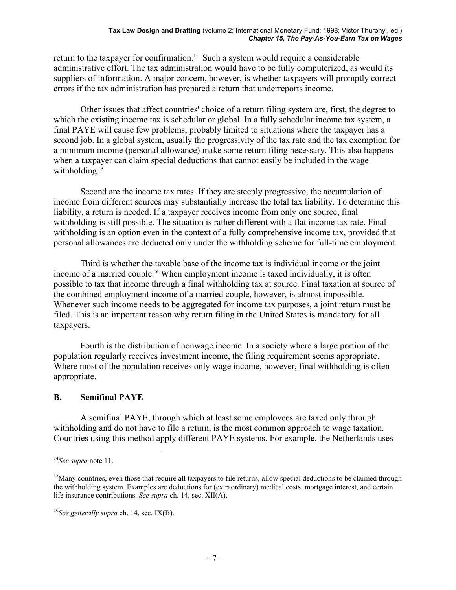return to the taxpayer for confirmation.<sup>14</sup> Such a system would require a considerable administrative effort. The tax administration would have to be fully computerized, as would its suppliers of information. A major concern, however, is whether taxpayers will promptly correct errors if the tax administration has prepared a return that underreports income.

 Other issues that affect countries' choice of a return filing system are, first, the degree to which the existing income tax is schedular or global. In a fully schedular income tax system, a final PAYE will cause few problems, probably limited to situations where the taxpayer has a second job. In a global system, usually the progressivity of the tax rate and the tax exemption for a minimum income (personal allowance) make some return filing necessary. This also happens when a taxpayer can claim special deductions that cannot easily be included in the wage withholding.<sup>15</sup>

 Second are the income tax rates. If they are steeply progressive, the accumulation of income from different sources may substantially increase the total tax liability. To determine this liability, a return is needed. If a taxpayer receives income from only one source, final withholding is still possible. The situation is rather different with a flat income tax rate. Final withholding is an option even in the context of a fully comprehensive income tax, provided that personal allowances are deducted only under the withholding scheme for full-time employment.

 Third is whether the taxable base of the income tax is individual income or the joint income of a married couple.<sup>16</sup> When employment income is taxed individually, it is often possible to tax that income through a final withholding tax at source. Final taxation at source of the combined employment income of a married couple, however, is almost impossible. Whenever such income needs to be aggregated for income tax purposes, a joint return must be filed. This is an important reason why return filing in the United States is mandatory for all taxpayers.

 Fourth is the distribution of nonwage income. In a society where a large portion of the population regularly receives investment income, the filing requirement seems appropriate. Where most of the population receives only wage income, however, final withholding is often appropriate.

### **B. Semifinal PAYE**

 A semifinal PAYE, through which at least some employees are taxed only through withholding and do not have to file a return, is the most common approach to wage taxation. Countries using this method apply different PAYE systems. For example, the Netherlands uses

 $\overline{a}$ 

<sup>14</sup>*See supra* note 11.

<sup>&</sup>lt;sup>15</sup>Many countries, even those that require all taxpayers to file returns, allow special deductions to be claimed through the withholding system. Examples are deductions for (extraordinary) medical costs, mortgage interest, and certain life insurance contributions. *See supra* ch. 14, sec. XII(A).

<sup>16</sup>*See generally supra* ch. 14, sec. IX(B).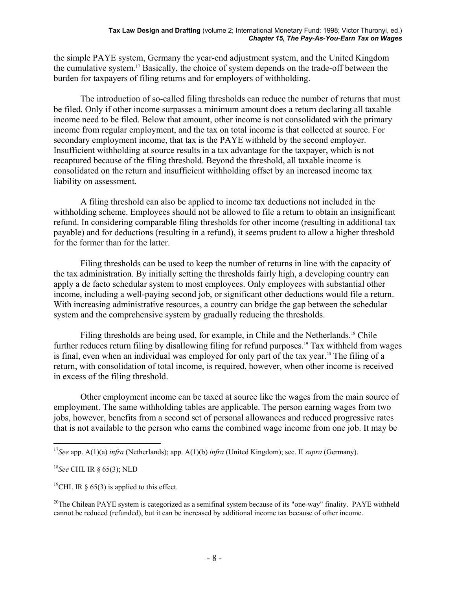the simple PAYE system, Germany the year-end adjustment system, and the United Kingdom the cumulative system.17 Basically, the choice of system depends on the trade-off between the burden for taxpayers of filing returns and for employers of withholding.

 The introduction of so-called filing thresholds can reduce the number of returns that must be filed. Only if other income surpasses a minimum amount does a return declaring all taxable income need to be filed. Below that amount, other income is not consolidated with the primary income from regular employment, and the tax on total income is that collected at source. For secondary employment income, that tax is the PAYE withheld by the second employer. Insufficient withholding at source results in a tax advantage for the taxpayer, which is not recaptured because of the filing threshold. Beyond the threshold, all taxable income is consolidated on the return and insufficient withholding offset by an increased income tax liability on assessment.

 A filing threshold can also be applied to income tax deductions not included in the withholding scheme. Employees should not be allowed to file a return to obtain an insignificant refund. In considering comparable filing thresholds for other income (resulting in additional tax payable) and for deductions (resulting in a refund), it seems prudent to allow a higher threshold for the former than for the latter.

 Filing thresholds can be used to keep the number of returns in line with the capacity of the tax administration. By initially setting the thresholds fairly high, a developing country can apply a de facto schedular system to most employees. Only employees with substantial other income, including a well-paying second job, or significant other deductions would file a return. With increasing administrative resources, a country can bridge the gap between the schedular system and the comprehensive system by gradually reducing the thresholds.

Filing thresholds are being used, for example, in Chile and the Netherlands.<sup>18</sup> Chile further reduces return filing by disallowing filing for refund purposes.<sup>19</sup> Tax withheld from wages is final, even when an individual was employed for only part of the tax year.<sup>20</sup> The filing of a return, with consolidation of total income, is required, however, when other income is received in excess of the filing threshold.

 Other employment income can be taxed at source like the wages from the main source of employment. The same withholding tables are applicable. The person earning wages from two jobs, however, benefits from a second set of personal allowances and reduced progressive rates that is not available to the person who earns the combined wage income from one job. It may be

<sup>18</sup>*See* CHL IR § 65(3); NLD

1

<sup>19</sup>CHL IR § 65(3) is applied to this effect.

<sup>17</sup>*See* app. A(1)(a) *infra* (Netherlands); app. A(1)(b) *infra* (United Kingdom); sec. II *supra* (Germany).

 $^{20}$ The Chilean PAYE system is categorized as a semifinal system because of its "one-way" finality. PAYE withheld cannot be reduced (refunded), but it can be increased by additional income tax because of other income.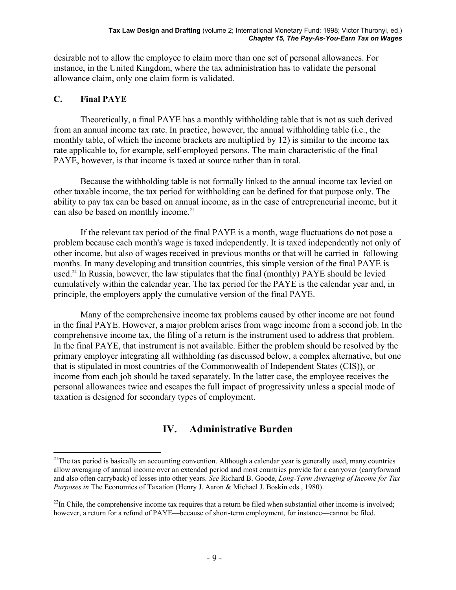desirable not to allow the employee to claim more than one set of personal allowances. For instance, in the United Kingdom, where the tax administration has to validate the personal allowance claim, only one claim form is validated.

### **C. Final PAYE**

 $\overline{a}$ 

 Theoretically, a final PAYE has a monthly withholding table that is not as such derived from an annual income tax rate. In practice, however, the annual withholding table (i.e., the monthly table, of which the income brackets are multiplied by 12) is similar to the income tax rate applicable to, for example, self-employed persons. The main characteristic of the final PAYE, however, is that income is taxed at source rather than in total.

 Because the withholding table is not formally linked to the annual income tax levied on other taxable income, the tax period for withholding can be defined for that purpose only. The ability to pay tax can be based on annual income, as in the case of entrepreneurial income, but it can also be based on monthly income.<sup>21</sup>

 If the relevant tax period of the final PAYE is a month, wage fluctuations do not pose a problem because each month's wage is taxed independently. It is taxed independently not only of other income, but also of wages received in previous months or that will be carried in following months. In many developing and transition countries, this simple version of the final PAYE is used.<sup>22</sup> In Russia, however, the law stipulates that the final (monthly) PAYE should be levied cumulatively within the calendar year. The tax period for the PAYE is the calendar year and, in principle, the employers apply the cumulative version of the final PAYE.

 Many of the comprehensive income tax problems caused by other income are not found in the final PAYE. However, a major problem arises from wage income from a second job. In the comprehensive income tax, the filing of a return is the instrument used to address that problem. In the final PAYE, that instrument is not available. Either the problem should be resolved by the primary employer integrating all withholding (as discussed below, a complex alternative, but one that is stipulated in most countries of the Commonwealth of Independent States (CIS)), or income from each job should be taxed separately. In the latter case, the employee receives the personal allowances twice and escapes the full impact of progressivity unless a special mode of taxation is designed for secondary types of employment.

### **IV. Administrative Burden**

 $21$ The tax period is basically an accounting convention. Although a calendar year is generally used, many countries allow averaging of annual income over an extended period and most countries provide for a carryover (carryforward and also often carryback) of losses into other years. *See* Richard B. Goode, *Long-Term Averaging of Income for Tax Purposes in* The Economics of Taxation (Henry J. Aaron & Michael J. Boskin eds., 1980).

 $^{22}$ In Chile, the comprehensive income tax requires that a return be filed when substantial other income is involved; however, a return for a refund of PAYE—because of short-term employment, for instance—cannot be filed.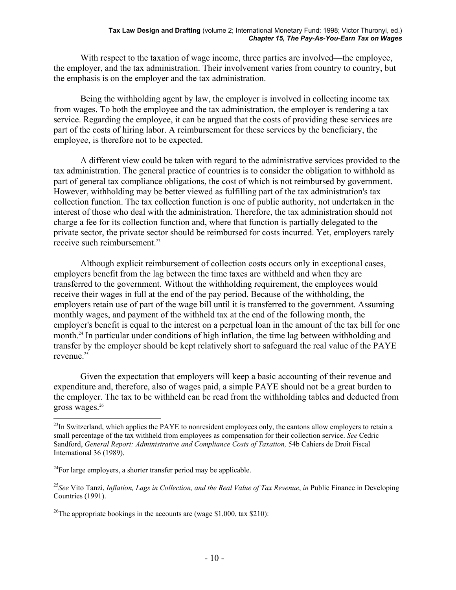With respect to the taxation of wage income, three parties are involved—the employee, the employer, and the tax administration. Their involvement varies from country to country, but the emphasis is on the employer and the tax administration.

 Being the withholding agent by law, the employer is involved in collecting income tax from wages. To both the employee and the tax administration, the employer is rendering a tax service. Regarding the employee, it can be argued that the costs of providing these services are part of the costs of hiring labor. A reimbursement for these services by the beneficiary, the employee, is therefore not to be expected.

 A different view could be taken with regard to the administrative services provided to the tax administration. The general practice of countries is to consider the obligation to withhold as part of general tax compliance obligations, the cost of which is not reimbursed by government. However, withholding may be better viewed as fulfilling part of the tax administration's tax collection function. The tax collection function is one of public authority, not undertaken in the interest of those who deal with the administration. Therefore, the tax administration should not charge a fee for its collection function and, where that function is partially delegated to the private sector, the private sector should be reimbursed for costs incurred. Yet, employers rarely receive such reimbursement.<sup>23</sup>

 Although explicit reimbursement of collection costs occurs only in exceptional cases, employers benefit from the lag between the time taxes are withheld and when they are transferred to the government. Without the withholding requirement, the employees would receive their wages in full at the end of the pay period. Because of the withholding, the employers retain use of part of the wage bill until it is transferred to the government. Assuming monthly wages, and payment of the withheld tax at the end of the following month, the employer's benefit is equal to the interest on a perpetual loan in the amount of the tax bill for one month.<sup>24</sup> In particular under conditions of high inflation, the time lag between withholding and transfer by the employer should be kept relatively short to safeguard the real value of the PAYE revenue. $25$ 

 Given the expectation that employers will keep a basic accounting of their revenue and expenditure and, therefore, also of wages paid, a simple PAYE should not be a great burden to the employer. The tax to be withheld can be read from the withholding tables and deducted from gross wages.<sup>26</sup>

 $\overline{a}$ 

 $^{23}$ In Switzerland, which applies the PAYE to nonresident employees only, the cantons allow employers to retain a small percentage of the tax withheld from employees as compensation for their collection service. *See* Cedric Sandford, *General Report: Administrative and Compliance Costs of Taxation,* 54b Cahiers de Droit Fiscal International 36 (1989).

 $^{24}$ For large employers, a shorter transfer period may be applicable.

<sup>25</sup>*See* Vito Tanzi, *Inflation, Lags in Collection, and the Real Value of Tax Revenue*, *in* Public Finance in Developing Countries (1991).

<sup>&</sup>lt;sup>26</sup>The appropriate bookings in the accounts are (wage \$1,000, tax \$210):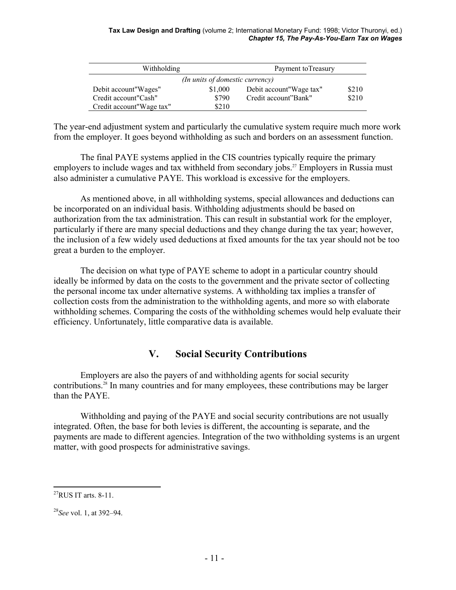#### **Tax Law Design and Drafting** (volume 2; International Monetary Fund: 1998; Victor Thuronyi, ed.) *Chapter 15, The Pay-As-You-Earn Tax on Wages*

| Withholding                            |         | Payment to Treasury      |       |  |  |
|----------------------------------------|---------|--------------------------|-------|--|--|
| <i>(In units of domestic currency)</i> |         |                          |       |  |  |
| Debit account" Wages"                  | \$1,000 | Debit account" Wage tax" | \$210 |  |  |
| Credit account"Cash"                   | \$790   | Credit account"Bank"     | \$210 |  |  |
| Credit account"Wage tax"               | \$210   |                          |       |  |  |

The year-end adjustment system and particularly the cumulative system require much more work from the employer. It goes beyond withholding as such and borders on an assessment function.

 The final PAYE systems applied in the CIS countries typically require the primary employers to include wages and tax withheld from secondary jobs.<sup>27</sup> Employers in Russia must also administer a cumulative PAYE. This workload is excessive for the employers.

 As mentioned above, in all withholding systems, special allowances and deductions can be incorporated on an individual basis. Withholding adjustments should be based on authorization from the tax administration. This can result in substantial work for the employer, particularly if there are many special deductions and they change during the tax year; however, the inclusion of a few widely used deductions at fixed amounts for the tax year should not be too great a burden to the employer.

 The decision on what type of PAYE scheme to adopt in a particular country should ideally be informed by data on the costs to the government and the private sector of collecting the personal income tax under alternative systems. A withholding tax implies a transfer of collection costs from the administration to the withholding agents, and more so with elaborate withholding schemes. Comparing the costs of the withholding schemes would help evaluate their efficiency. Unfortunately, little comparative data is available.

### **V. Social Security Contributions**

 Employers are also the payers of and withholding agents for social security contributions.28 In many countries and for many employees, these contributions may be larger than the PAYE.

 Withholding and paying of the PAYE and social security contributions are not usually integrated. Often, the base for both levies is different, the accounting is separate, and the payments are made to different agencies. Integration of the two withholding systems is an urgent matter, with good prospects for administrative savings.

<sup>1</sup>  $^{27}$ RUS IT arts. 8-11.

<sup>28</sup>*See* vol. 1, at 392–94.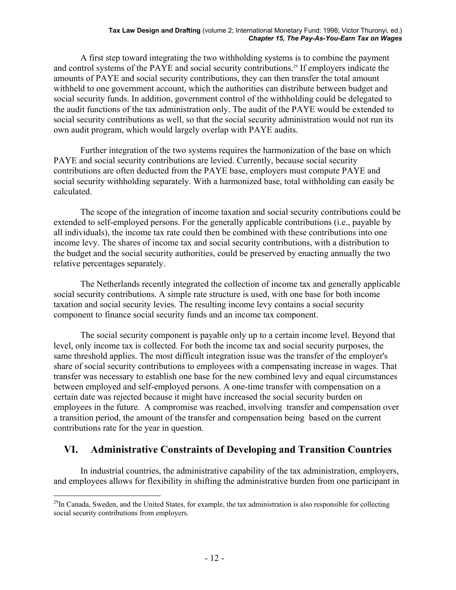A first step toward integrating the two withholding systems is to combine the payment and control systems of the PAYE and social security contributions.<sup>29</sup> If employers indicate the amounts of PAYE and social security contributions, they can then transfer the total amount withheld to one government account, which the authorities can distribute between budget and social security funds. In addition, government control of the withholding could be delegated to the audit functions of the tax administration only. The audit of the PAYE would be extended to social security contributions as well, so that the social security administration would not run its own audit program, which would largely overlap with PAYE audits.

 Further integration of the two systems requires the harmonization of the base on which PAYE and social security contributions are levied. Currently, because social security contributions are often deducted from the PAYE base, employers must compute PAYE and social security withholding separately. With a harmonized base, total withholding can easily be calculated.

 The scope of the integration of income taxation and social security contributions could be extended to self-employed persons. For the generally applicable contributions (i.e., payable by all individuals), the income tax rate could then be combined with these contributions into one income levy. The shares of income tax and social security contributions, with a distribution to the budget and the social security authorities, could be preserved by enacting annually the two relative percentages separately.

 The Netherlands recently integrated the collection of income tax and generally applicable social security contributions. A simple rate structure is used, with one base for both income taxation and social security levies. The resulting income levy contains a social security component to finance social security funds and an income tax component.

 The social security component is payable only up to a certain income level. Beyond that level, only income tax is collected. For both the income tax and social security purposes, the same threshold applies. The most difficult integration issue was the transfer of the employer's share of social security contributions to employees with a compensating increase in wages. That transfer was necessary to establish one base for the new combined levy and equal circumstances between employed and self-employed persons. A one-time transfer with compensation on a certain date was rejected because it might have increased the social security burden on employees in the future. A compromise was reached, involving transfer and compensation over a transition period, the amount of the transfer and compensation being based on the current contributions rate for the year in question.

### **VI. Administrative Constraints of Developing and Transition Countries**

 In industrial countries, the administrative capability of the tax administration, employers, and employees allows for flexibility in shifting the administrative burden from one participant in

 $\overline{a}$  $^{29}$ In Canada, Sweden, and the United States, for example, the tax administration is also responsible for collecting social security contributions from employers.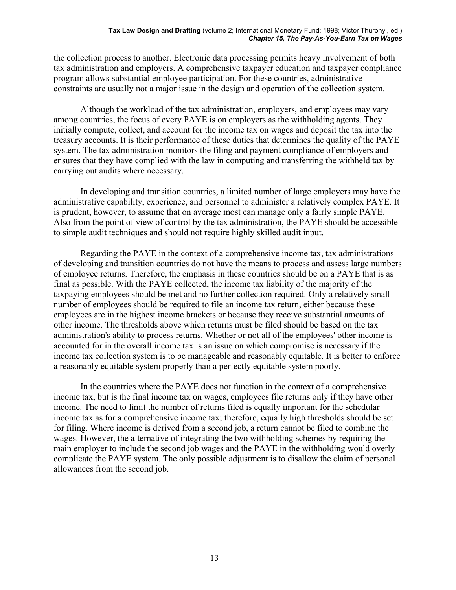the collection process to another. Electronic data processing permits heavy involvement of both tax administration and employers. A comprehensive taxpayer education and taxpayer compliance program allows substantial employee participation. For these countries, administrative constraints are usually not a major issue in the design and operation of the collection system.

 Although the workload of the tax administration, employers, and employees may vary among countries, the focus of every PAYE is on employers as the withholding agents. They initially compute, collect, and account for the income tax on wages and deposit the tax into the treasury accounts. It is their performance of these duties that determines the quality of the PAYE system. The tax administration monitors the filing and payment compliance of employers and ensures that they have complied with the law in computing and transferring the withheld tax by carrying out audits where necessary.

 In developing and transition countries, a limited number of large employers may have the administrative capability, experience, and personnel to administer a relatively complex PAYE. It is prudent, however, to assume that on average most can manage only a fairly simple PAYE. Also from the point of view of control by the tax administration, the PAYE should be accessible to simple audit techniques and should not require highly skilled audit input.

 Regarding the PAYE in the context of a comprehensive income tax, tax administrations of developing and transition countries do not have the means to process and assess large numbers of employee returns. Therefore, the emphasis in these countries should be on a PAYE that is as final as possible. With the PAYE collected, the income tax liability of the majority of the taxpaying employees should be met and no further collection required. Only a relatively small number of employees should be required to file an income tax return, either because these employees are in the highest income brackets or because they receive substantial amounts of other income. The thresholds above which returns must be filed should be based on the tax administration's ability to process returns. Whether or not all of the employees' other income is accounted for in the overall income tax is an issue on which compromise is necessary if the income tax collection system is to be manageable and reasonably equitable. It is better to enforce a reasonably equitable system properly than a perfectly equitable system poorly.

 In the countries where the PAYE does not function in the context of a comprehensive income tax, but is the final income tax on wages, employees file returns only if they have other income. The need to limit the number of returns filed is equally important for the schedular income tax as for a comprehensive income tax; therefore, equally high thresholds should be set for filing. Where income is derived from a second job, a return cannot be filed to combine the wages. However, the alternative of integrating the two withholding schemes by requiring the main employer to include the second job wages and the PAYE in the withholding would overly complicate the PAYE system. The only possible adjustment is to disallow the claim of personal allowances from the second job.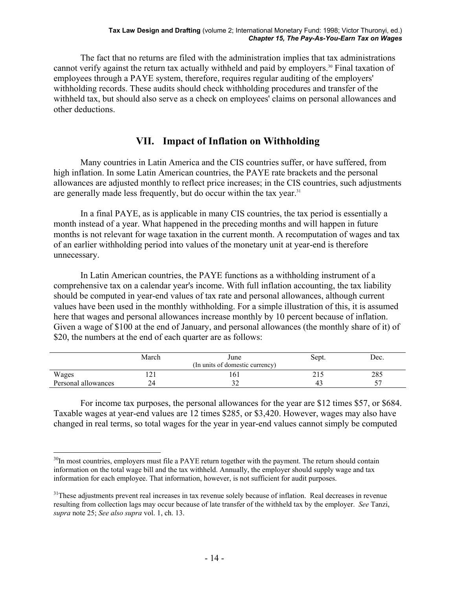The fact that no returns are filed with the administration implies that tax administrations cannot verify against the return tax actually withheld and paid by employers.<sup>30</sup> Final taxation of employees through a PAYE system, therefore, requires regular auditing of the employers' withholding records. These audits should check withholding procedures and transfer of the withheld tax, but should also serve as a check on employees' claims on personal allowances and other deductions.

### **VII. Impact of Inflation on Withholding**

 Many countries in Latin America and the CIS countries suffer, or have suffered, from high inflation. In some Latin American countries, the PAYE rate brackets and the personal allowances are adjusted monthly to reflect price increases; in the CIS countries, such adjustments are generally made less frequently, but do occur within the tax year.<sup>31</sup>

 In a final PAYE, as is applicable in many CIS countries, the tax period is essentially a month instead of a year. What happened in the preceding months and will happen in future months is not relevant for wage taxation in the current month. A recomputation of wages and tax of an earlier withholding period into values of the monetary unit at year-end is therefore unnecessary.

 In Latin American countries, the PAYE functions as a withholding instrument of a comprehensive tax on a calendar year's income. With full inflation accounting, the tax liability should be computed in year-end values of tax rate and personal allowances, although current values have been used in the monthly withholding. For a simple illustration of this, it is assumed here that wages and personal allowances increase monthly by 10 percent because of inflation. Given a wage of \$100 at the end of January, and personal allowances (the monthly share of it) of \$20, the numbers at the end of each quarter are as follows:

|                     | March | June                            | Sept. | Dec. |
|---------------------|-------|---------------------------------|-------|------|
|                     |       | (In units of domestic currency) |       |      |
| Wages               | ⊥∠⊥   | 161                             | ر 1 ک | 285  |
| Personal allowances | 24    | $\sim$<br>ے ر                   | 43    |      |

 For income tax purposes, the personal allowances for the year are \$12 times \$57, or \$684. Taxable wages at year-end values are 12 times \$285, or \$3,420. However, wages may also have changed in real terms, so total wages for the year in year-end values cannot simply be computed

 $\overline{a}$ 

 $30$ In most countries, employers must file a PAYE return together with the payment. The return should contain information on the total wage bill and the tax withheld. Annually, the employer should supply wage and tax information for each employee. That information, however, is not sufficient for audit purposes.

<sup>&</sup>lt;sup>31</sup>These adjustments prevent real increases in tax revenue solely because of inflation. Real decreases in revenue resulting from collection lags may occur because of late transfer of the withheld tax by the employer. *See* Tanzi, *supra* note 25; *See also supra* vol. 1, ch. 13.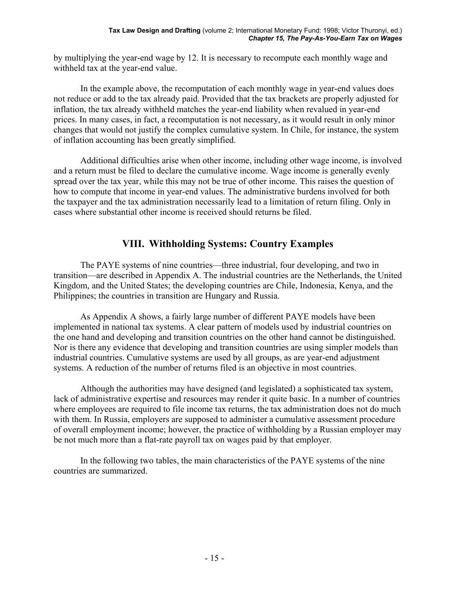by multiplying the year-end wage by 12. It is necessary to recompute each monthly wage and withheld tax at the year-end value.

In the example above, the recomputation of each monthly wage in year-end values does not reduce or add to the tax already paid. Provided that the tax brackets are properly adjusted for inflation, the tax already withheld matches the year-end liability when revalued in year-end prices. In many cases, in fact, a recomputation is not necessary, as it would result in only minor changes that would not justify the complex cumulative system. In Chile, for instance, the system of inflation accounting has been greatly simplified.

 Additional difficulties arise when other income, including other wage income, is involved and a return must be filed to declare the cumulative income. Wage income is generally evenly spread over the tax year, while this may not be true of other income. This raises the question of how to compute that income in year-end values. The administrative burdens involved for both the taxpayer and the tax administration necessarily lead to a limitation of return filing. Only in cases where substantial other income is received should returns be filed.

### **VIII. Withholding Systems: Country Examples**

 The PAYE systems of nine countries—three industrial, four developing, and two in transition—are described in Appendix A. The industrial countries are the Netherlands, the United Kingdom, and the United States; the developing countries are Chile, Indonesia, Kenya, and the Philippines; the countries in transition are Hungary and Russia.

 As Appendix A shows, a fairly large number of different PAYE models have been implemented in national tax systems. A clear pattern of models used by industrial countries on the one hand and developing and transition countries on the other hand cannot be distinguished. Nor is there any evidence that developing and transition countries are using simpler models than industrial countries. Cumulative systems are used by all groups, as are year-end adjustment systems. A reduction of the number of returns filed is an objective in most countries.

 Although the authorities may have designed (and legislated) a sophisticated tax system, lack of administrative expertise and resources may render it quite basic. In a number of countries where employees are required to file income tax returns, the tax administration does not do much with them. In Russia, employers are supposed to administer a cumulative assessment procedure of overall employment income; however, the practice of withholding by a Russian employer may be not much more than a flat-rate payroll tax on wages paid by that employer.

 In the following two tables, the main characteristics of the PAYE systems of the nine countries are summarized.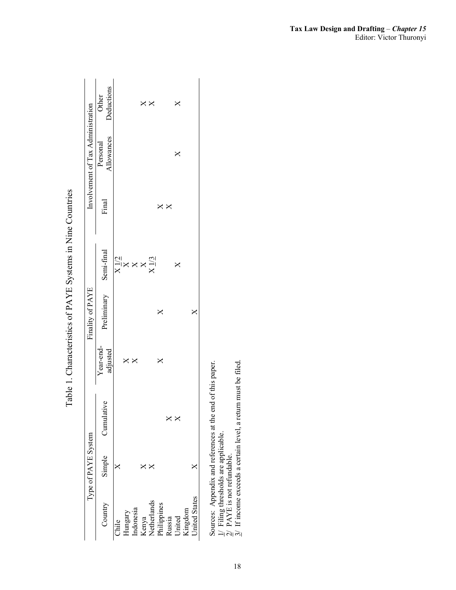|                                                                        | Type of PAYE System |                                                                                                                                       |                       | Finality of PAYE |                                                         |              | Involvement of Tax Administration |                     |
|------------------------------------------------------------------------|---------------------|---------------------------------------------------------------------------------------------------------------------------------------|-----------------------|------------------|---------------------------------------------------------|--------------|-----------------------------------|---------------------|
| Country                                                                | Simple              | Cumulative                                                                                                                            | Year-end-<br>adjusted | Preliminary      | Semi-final                                              | Final        | Allowances<br>Personal            | Deductions<br>Other |
| Chile                                                                  |                     |                                                                                                                                       |                       |                  |                                                         |              |                                   |                     |
| Hungary                                                                |                     |                                                                                                                                       | ×                     |                  | $\frac{1}{2}$<br>x x x $\frac{1}{2}$<br>x $\frac{1}{2}$ |              |                                   |                     |
| Indonesia                                                              |                     |                                                                                                                                       | $\times$              |                  |                                                         |              |                                   |                     |
| Kenya                                                                  |                     |                                                                                                                                       |                       |                  |                                                         |              |                                   | X                   |
| Netherlands                                                            | ×                   |                                                                                                                                       |                       |                  |                                                         |              |                                   | X                   |
| Philippines                                                            |                     |                                                                                                                                       | ×                     | ×                |                                                         | ×            |                                   |                     |
| Russia                                                                 |                     | ×                                                                                                                                     |                       |                  |                                                         | $\mathsf{X}$ |                                   |                     |
| United                                                                 |                     | $\times$                                                                                                                              |                       |                  | ×                                                       |              | ×                                 | $\times$            |
| Kingdom                                                                |                     |                                                                                                                                       |                       |                  |                                                         |              |                                   |                     |
| United States                                                          |                     |                                                                                                                                       |                       | ×                |                                                         |              |                                   |                     |
| $1/$ Filing thresholds are applicable.<br>$2/$ PAYE is not refundable. |                     | $\frac{3}{2}$ If income exceeds a certain level, a return must be filed<br>Sources: Appendix and references at the end of this paper. |                       |                  |                                                         |              |                                   |                     |

Table 1. Characteristics of PAYE Systems in Nine Countries Table 1. Characteristics of PAYE Systems in Nine Countries

18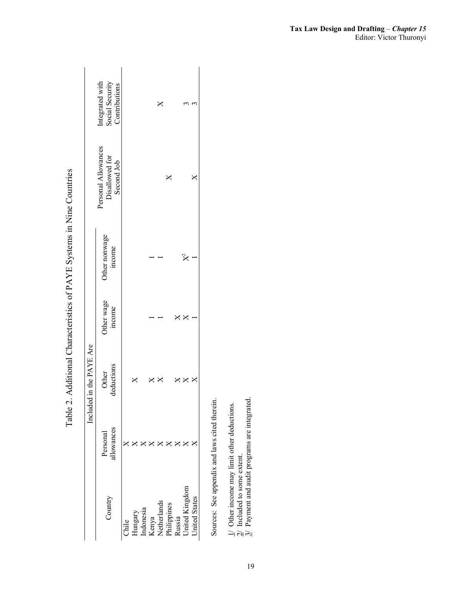|                          | Integrated with<br>Social Security<br>Contributions |              |  | × |                                                                                     |                           |                      |
|--------------------------|-----------------------------------------------------|--------------|--|---|-------------------------------------------------------------------------------------|---------------------------|----------------------|
|                          | Personal Allowances<br>Disallowed for<br>Second Job |              |  |   | ×                                                                                   |                           | ×                    |
|                          | Other nonwage<br>income                             |              |  |   |                                                                                     | $\mathsf{V}^{\mathsf{I}}$ |                      |
|                          | Other wage<br>income                                |              |  |   |                                                                                     | ×                         |                      |
| Included in the PAYE Are | deductions<br>Other                                 |              |  | × |                                                                                     | ×                         | $\times$             |
|                          | allowances<br>Personal                              |              |  |   |                                                                                     |                           |                      |
|                          | Country                                             | <b>Chile</b> |  |   | Hungary<br>Indonesia<br>Kenya<br>Keherlands<br>Netherlands<br>Philippines<br>Russia | United Kingdom            | <b>Jnited States</b> |

Table 2. Additional Characteristics of PAYE Systems in Nine Countries Table 2. Additional Characteristics of PAYE Systems in Nine Countries

Sources: See appendix and laws cited therein. Sources: See appendix and laws cited therein.

1/ Other income may limit other deductions.

2/ Included to some extent.

 $\frac{1}{2}$  Other income may limit other deductions.<br> $\frac{2}{2}$  Included to some extent.<br> $\frac{3}{2}$  Payment and audit programs are integrated. 3/ Payment and audit programs are integrated.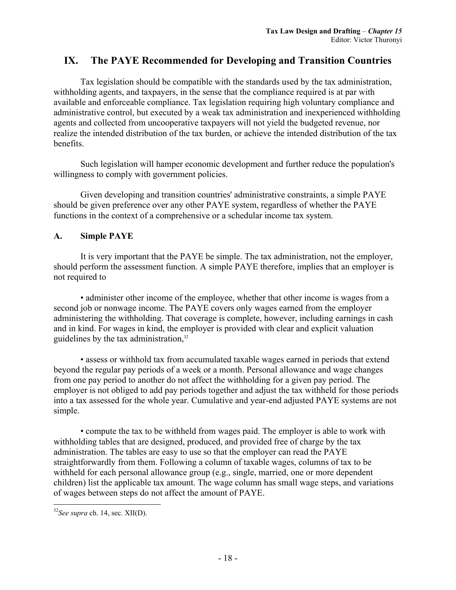### **IX. The PAYE Recommended for Developing and Transition Countries**

 Tax legislation should be compatible with the standards used by the tax administration, withholding agents, and taxpayers, in the sense that the compliance required is at par with available and enforceable compliance. Tax legislation requiring high voluntary compliance and administrative control, but executed by a weak tax administration and inexperienced withholding agents and collected from uncooperative taxpayers will not yield the budgeted revenue, nor realize the intended distribution of the tax burden, or achieve the intended distribution of the tax benefits.

 Such legislation will hamper economic development and further reduce the population's willingness to comply with government policies.

 Given developing and transition countries' administrative constraints, a simple PAYE should be given preference over any other PAYE system, regardless of whether the PAYE functions in the context of a comprehensive or a schedular income tax system.

### **A. Simple PAYE**

 It is very important that the PAYE be simple. The tax administration, not the employer, should perform the assessment function. A simple PAYE therefore, implies that an employer is not required to

 • administer other income of the employee, whether that other income is wages from a second job or nonwage income. The PAYE covers only wages earned from the employer administering the withholding. That coverage is complete, however, including earnings in cash and in kind. For wages in kind, the employer is provided with clear and explicit valuation guidelines by the tax administration, $32$ 

 • assess or withhold tax from accumulated taxable wages earned in periods that extend beyond the regular pay periods of a week or a month. Personal allowance and wage changes from one pay period to another do not affect the withholding for a given pay period. The employer is not obliged to add pay periods together and adjust the tax withheld for those periods into a tax assessed for the whole year. Cumulative and year-end adjusted PAYE systems are not simple.

 • compute the tax to be withheld from wages paid. The employer is able to work with withholding tables that are designed, produced, and provided free of charge by the tax administration. The tables are easy to use so that the employer can read the PAYE straightforwardly from them. Following a column of taxable wages, columns of tax to be withheld for each personal allowance group (e.g., single, married, one or more dependent children) list the applicable tax amount. The wage column has small wage steps, and variations of wages between steps do not affect the amount of PAYE.

 $\overline{a}$ <sup>32</sup>*See supra* ch. 14, sec. XII(D).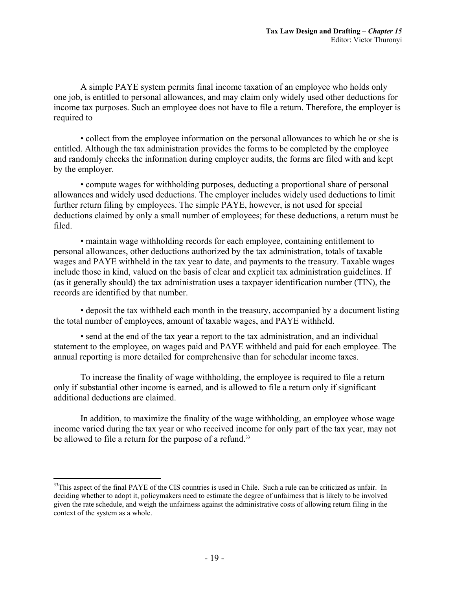A simple PAYE system permits final income taxation of an employee who holds only one job, is entitled to personal allowances, and may claim only widely used other deductions for income tax purposes. Such an employee does not have to file a return. Therefore, the employer is required to

 • collect from the employee information on the personal allowances to which he or she is entitled. Although the tax administration provides the forms to be completed by the employee and randomly checks the information during employer audits, the forms are filed with and kept by the employer.

 • compute wages for withholding purposes, deducting a proportional share of personal allowances and widely used deductions. The employer includes widely used deductions to limit further return filing by employees. The simple PAYE, however, is not used for special deductions claimed by only a small number of employees; for these deductions, a return must be filed.

 • maintain wage withholding records for each employee, containing entitlement to personal allowances, other deductions authorized by the tax administration, totals of taxable wages and PAYE withheld in the tax year to date, and payments to the treasury. Taxable wages include those in kind, valued on the basis of clear and explicit tax administration guidelines. If (as it generally should) the tax administration uses a taxpayer identification number (TIN), the records are identified by that number.

 • deposit the tax withheld each month in the treasury, accompanied by a document listing the total number of employees, amount of taxable wages, and PAYE withheld.

 • send at the end of the tax year a report to the tax administration, and an individual statement to the employee, on wages paid and PAYE withheld and paid for each employee. The annual reporting is more detailed for comprehensive than for schedular income taxes.

 To increase the finality of wage withholding, the employee is required to file a return only if substantial other income is earned, and is allowed to file a return only if significant additional deductions are claimed.

 In addition, to maximize the finality of the wage withholding, an employee whose wage income varied during the tax year or who received income for only part of the tax year, may not be allowed to file a return for the purpose of a refund.<sup>33</sup>

<sup>1</sup>  $33$ This aspect of the final PAYE of the CIS countries is used in Chile. Such a rule can be criticized as unfair. In deciding whether to adopt it, policymakers need to estimate the degree of unfairness that is likely to be involved given the rate schedule, and weigh the unfairness against the administrative costs of allowing return filing in the context of the system as a whole.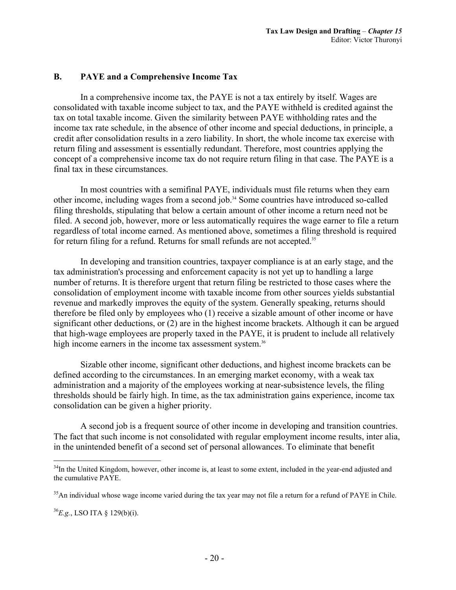### **B. PAYE and a Comprehensive Income Tax**

 In a comprehensive income tax, the PAYE is not a tax entirely by itself. Wages are consolidated with taxable income subject to tax, and the PAYE withheld is credited against the tax on total taxable income. Given the similarity between PAYE withholding rates and the income tax rate schedule, in the absence of other income and special deductions, in principle, a credit after consolidation results in a zero liability. In short, the whole income tax exercise with return filing and assessment is essentially redundant. Therefore, most countries applying the concept of a comprehensive income tax do not require return filing in that case. The PAYE is a final tax in these circumstances.

 In most countries with a semifinal PAYE, individuals must file returns when they earn other income, including wages from a second job.<sup>34</sup> Some countries have introduced so-called filing thresholds, stipulating that below a certain amount of other income a return need not be filed. A second job, however, more or less automatically requires the wage earner to file a return regardless of total income earned. As mentioned above, sometimes a filing threshold is required for return filing for a refund. Returns for small refunds are not accepted.<sup>35</sup>

 In developing and transition countries, taxpayer compliance is at an early stage, and the tax administration's processing and enforcement capacity is not yet up to handling a large number of returns. It is therefore urgent that return filing be restricted to those cases where the consolidation of employment income with taxable income from other sources yields substantial revenue and markedly improves the equity of the system. Generally speaking, returns should therefore be filed only by employees who (1) receive a sizable amount of other income or have significant other deductions, or (2) are in the highest income brackets. Although it can be argued that high-wage employees are properly taxed in the PAYE, it is prudent to include all relatively high income earners in the income tax assessment system.<sup>36</sup>

 Sizable other income, significant other deductions, and highest income brackets can be defined according to the circumstances. In an emerging market economy, with a weak tax administration and a majority of the employees working at near-subsistence levels, the filing thresholds should be fairly high. In time, as the tax administration gains experience, income tax consolidation can be given a higher priority.

 A second job is a frequent source of other income in developing and transition countries. The fact that such income is not consolidated with regular employment income results, inter alia, in the unintended benefit of a second set of personal allowances. To eliminate that benefit

 $^{36}E.g.,$  LSO ITA § 129(b)(i).

1

 $34$ In the United Kingdom, however, other income is, at least to some extent, included in the year-end adjusted and the cumulative PAYE.

 $35$ An individual whose wage income varied during the tax year may not file a return for a refund of PAYE in Chile.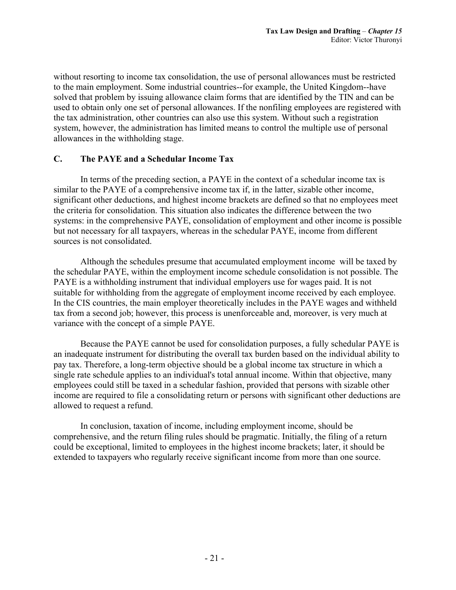without resorting to income tax consolidation, the use of personal allowances must be restricted to the main employment. Some industrial countries--for example, the United Kingdom--have solved that problem by issuing allowance claim forms that are identified by the TIN and can be used to obtain only one set of personal allowances. If the nonfiling employees are registered with the tax administration, other countries can also use this system. Without such a registration system, however, the administration has limited means to control the multiple use of personal allowances in the withholding stage.

### **C. The PAYE and a Schedular Income Tax**

 In terms of the preceding section, a PAYE in the context of a schedular income tax is similar to the PAYE of a comprehensive income tax if, in the latter, sizable other income, significant other deductions, and highest income brackets are defined so that no employees meet the criteria for consolidation. This situation also indicates the difference between the two systems: in the comprehensive PAYE, consolidation of employment and other income is possible but not necessary for all taxpayers, whereas in the schedular PAYE, income from different sources is not consolidated.

 Although the schedules presume that accumulated employment income will be taxed by the schedular PAYE, within the employment income schedule consolidation is not possible. The PAYE is a withholding instrument that individual employers use for wages paid. It is not suitable for withholding from the aggregate of employment income received by each employee. In the CIS countries, the main employer theoretically includes in the PAYE wages and withheld tax from a second job; however, this process is unenforceable and, moreover, is very much at variance with the concept of a simple PAYE.

 Because the PAYE cannot be used for consolidation purposes, a fully schedular PAYE is an inadequate instrument for distributing the overall tax burden based on the individual ability to pay tax. Therefore, a long-term objective should be a global income tax structure in which a single rate schedule applies to an individual's total annual income. Within that objective, many employees could still be taxed in a schedular fashion, provided that persons with sizable other income are required to file a consolidating return or persons with significant other deductions are allowed to request a refund.

 In conclusion, taxation of income, including employment income, should be comprehensive, and the return filing rules should be pragmatic. Initially, the filing of a return could be exceptional, limited to employees in the highest income brackets; later, it should be extended to taxpayers who regularly receive significant income from more than one source.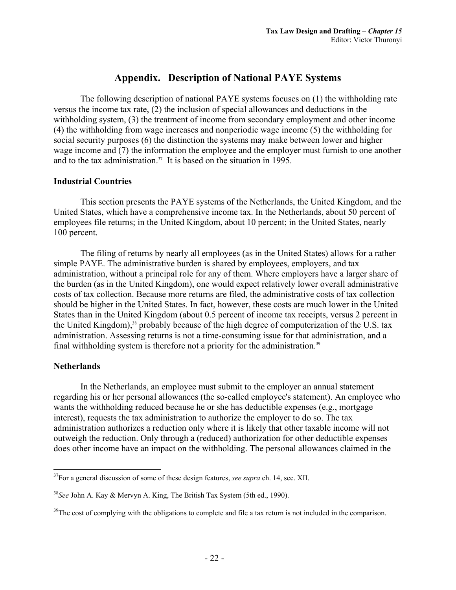### **Appendix. Description of National PAYE Systems**

 The following description of national PAYE systems focuses on (1) the withholding rate versus the income tax rate, (2) the inclusion of special allowances and deductions in the withholding system, (3) the treatment of income from secondary employment and other income (4) the withholding from wage increases and nonperiodic wage income (5) the withholding for social security purposes (6) the distinction the systems may make between lower and higher wage income and (7) the information the employee and the employer must furnish to one another and to the tax administration.<sup>37</sup> It is based on the situation in 1995.

### **Industrial Countries**

 This section presents the PAYE systems of the Netherlands, the United Kingdom, and the United States, which have a comprehensive income tax. In the Netherlands, about 50 percent of employees file returns; in the United Kingdom, about 10 percent; in the United States, nearly 100 percent.

 The filing of returns by nearly all employees (as in the United States) allows for a rather simple PAYE. The administrative burden is shared by employees, employers, and tax administration, without a principal role for any of them. Where employers have a larger share of the burden (as in the United Kingdom), one would expect relatively lower overall administrative costs of tax collection. Because more returns are filed, the administrative costs of tax collection should be higher in the United States. In fact, however, these costs are much lower in the United States than in the United Kingdom (about 0.5 percent of income tax receipts, versus 2 percent in the United Kingdom),<sup>38</sup> probably because of the high degree of computerization of the U.S. tax administration. Assessing returns is not a time-consuming issue for that administration, and a final withholding system is therefore not a priority for the administration.<sup>39</sup>

### **Netherlands**

 $\overline{a}$ 

 In the Netherlands, an employee must submit to the employer an annual statement regarding his or her personal allowances (the so-called employee's statement). An employee who wants the withholding reduced because he or she has deductible expenses (e.g., mortgage interest), requests the tax administration to authorize the employer to do so. The tax administration authorizes a reduction only where it is likely that other taxable income will not outweigh the reduction. Only through a (reduced) authorization for other deductible expenses does other income have an impact on the withholding. The personal allowances claimed in the

<sup>37</sup>For a general discussion of some of these design features, *see supra* ch. 14, sec. XII.

<sup>38</sup>*See* John A. Kay & Mervyn A. King, The British Tax System (5th ed., 1990).

<sup>&</sup>lt;sup>39</sup>The cost of complying with the obligations to complete and file a tax return is not included in the comparison.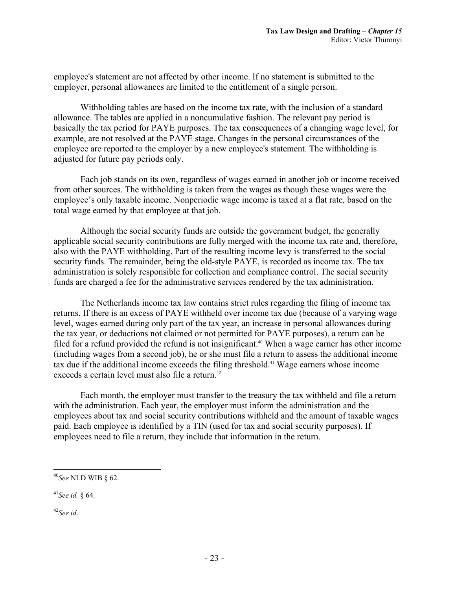employee's statement are not affected by other income. If no statement is submitted to the employer, personal allowances are limited to the entitlement of a single person.

 Withholding tables are based on the income tax rate, with the inclusion of a standard allowance. The tables are applied in a noncumulative fashion. The relevant pay period is basically the tax period for PAYE purposes. The tax consequences of a changing wage level, for example, are not resolved at the PAYE stage. Changes in the personal circumstances of the employee are reported to the employer by a new employee's statement. The withholding is adjusted for future pay periods only.

 Each job stands on its own, regardless of wages earned in another job or income received from other sources. The withholding is taken from the wages as though these wages were the employee's only taxable income. Nonperiodic wage income is taxed at a flat rate, based on the total wage earned by that employee at that job.

 Although the social security funds are outside the government budget, the generally applicable social security contributions are fully merged with the income tax rate and, therefore, also with the PAYE withholding. Part of the resulting income levy is transferred to the social security funds. The remainder, being the old-style PAYE, is recorded as income tax. The tax administration is solely responsible for collection and compliance control. The social security funds are charged a fee for the administrative services rendered by the tax administration.

 The Netherlands income tax law contains strict rules regarding the filing of income tax returns. If there is an excess of PAYE withheld over income tax due (because of a varying wage level, wages earned during only part of the tax year, an increase in personal allowances during the tax year, or deductions not claimed or not permitted for PAYE purposes), a return can be filed for a refund provided the refund is not insignificant.<sup>40</sup> When a wage earner has other income (including wages from a second job), he or she must file a return to assess the additional income tax due if the additional income exceeds the filing threshold.<sup>41</sup> Wage earners whose income exceeds a certain level must also file a return.<sup>42</sup>

 Each month, the employer must transfer to the treasury the tax withheld and file a return with the administration. Each year, the employer must inform the administration and the employees about tax and social security contributions withheld and the amount of taxable wages paid. Each employee is identified by a TIN (used for tax and social security purposes). If employees need to file a return, they include that information in the return.

<sup>42</sup>*See id*.

<u>.</u>

<sup>40</sup>*See* NLD WIB § 62.

<sup>41</sup>*See id.* § 64.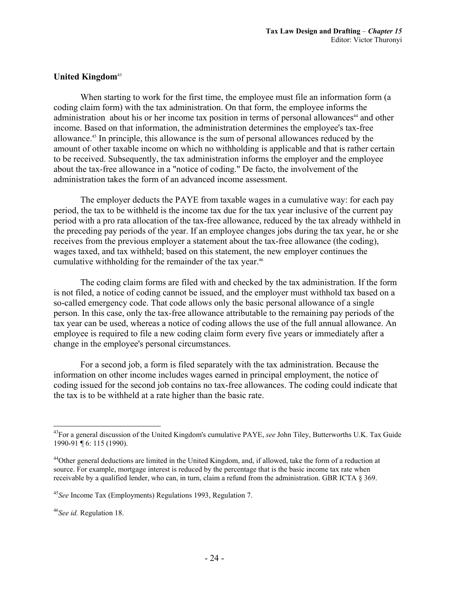### **United Kingdom**<sup>43</sup>

When starting to work for the first time, the employee must file an information form (a coding claim form) with the tax administration. On that form, the employee informs the administration about his or her income tax position in terms of personal allowances<sup>44</sup> and other income. Based on that information, the administration determines the employee's tax-free allowance.45 In principle, this allowance is the sum of personal allowances reduced by the amount of other taxable income on which no withholding is applicable and that is rather certain to be received. Subsequently, the tax administration informs the employer and the employee about the tax-free allowance in a "notice of coding." De facto, the involvement of the administration takes the form of an advanced income assessment.

 The employer deducts the PAYE from taxable wages in a cumulative way: for each pay period, the tax to be withheld is the income tax due for the tax year inclusive of the current pay period with a pro rata allocation of the tax-free allowance, reduced by the tax already withheld in the preceding pay periods of the year. If an employee changes jobs during the tax year, he or she receives from the previous employer a statement about the tax-free allowance (the coding), wages taxed, and tax withheld; based on this statement, the new employer continues the cumulative withholding for the remainder of the tax year.<sup>46</sup>

 The coding claim forms are filed with and checked by the tax administration. If the form is not filed, a notice of coding cannot be issued, and the employer must withhold tax based on a so-called emergency code. That code allows only the basic personal allowance of a single person. In this case, only the tax-free allowance attributable to the remaining pay periods of the tax year can be used, whereas a notice of coding allows the use of the full annual allowance. An employee is required to file a new coding claim form every five years or immediately after a change in the employee's personal circumstances.

 For a second job, a form is filed separately with the tax administration. Because the information on other income includes wages earned in principal employment, the notice of coding issued for the second job contains no tax-free allowances. The coding could indicate that the tax is to be withheld at a rate higher than the basic rate.

 $\overline{a}$ 43For a general discussion of the United Kingdom's cumulative PAYE, *see* John Tiley, Butterworths U.K. Tax Guide 1990-91 ¶ 6: 115 (1990).

<sup>&</sup>lt;sup>44</sup>Other general deductions are limited in the United Kingdom, and, if allowed, take the form of a reduction at source. For example, mortgage interest is reduced by the percentage that is the basic income tax rate when receivable by a qualified lender, who can, in turn, claim a refund from the administration. GBR ICTA § 369.

<sup>45</sup>*See* Income Tax (Employments) Regulations 1993, Regulation 7.

<sup>46</sup>*See id.* Regulation 18.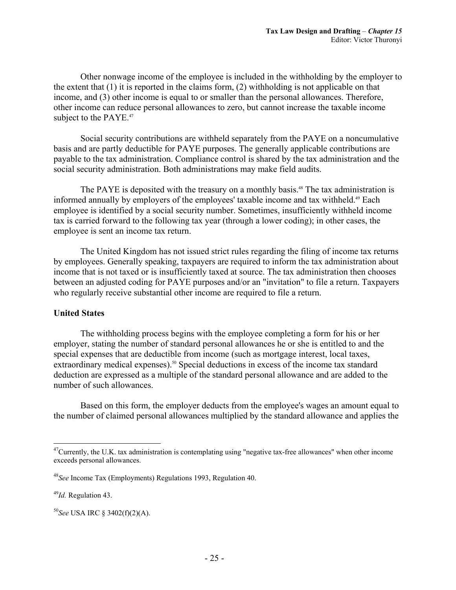Other nonwage income of the employee is included in the withholding by the employer to the extent that (1) it is reported in the claims form, (2) withholding is not applicable on that income, and (3) other income is equal to or smaller than the personal allowances. Therefore, other income can reduce personal allowances to zero, but cannot increase the taxable income subject to the PAYE.<sup>47</sup>

 Social security contributions are withheld separately from the PAYE on a noncumulative basis and are partly deductible for PAYE purposes. The generally applicable contributions are payable to the tax administration. Compliance control is shared by the tax administration and the social security administration. Both administrations may make field audits.

The PAYE is deposited with the treasury on a monthly basis.<sup>48</sup> The tax administration is informed annually by employers of the employees' taxable income and tax withheld.<sup>49</sup> Each employee is identified by a social security number. Sometimes, insufficiently withheld income tax is carried forward to the following tax year (through a lower coding); in other cases, the employee is sent an income tax return.

 The United Kingdom has not issued strict rules regarding the filing of income tax returns by employees. Generally speaking, taxpayers are required to inform the tax administration about income that is not taxed or is insufficiently taxed at source. The tax administration then chooses between an adjusted coding for PAYE purposes and/or an "invitation" to file a return. Taxpayers who regularly receive substantial other income are required to file a return.

#### **United States**

 The withholding process begins with the employee completing a form for his or her employer, stating the number of standard personal allowances he or she is entitled to and the special expenses that are deductible from income (such as mortgage interest, local taxes, extraordinary medical expenses).<sup>50</sup> Special deductions in excess of the income tax standard deduction are expressed as a multiple of the standard personal allowance and are added to the number of such allowances.

 Based on this form, the employer deducts from the employee's wages an amount equal to the number of claimed personal allowances multiplied by the standard allowance and applies the

<sup>1</sup>  $47$ Currently, the U.K. tax administration is contemplating using "negative tax-free allowances" when other income exceeds personal allowances.

<sup>48</sup>*See* Income Tax (Employments) Regulations 1993, Regulation 40.

<sup>49</sup>*Id.* Regulation 43.

<sup>50</sup>*See* USA IRC § 3402(f)(2)(A).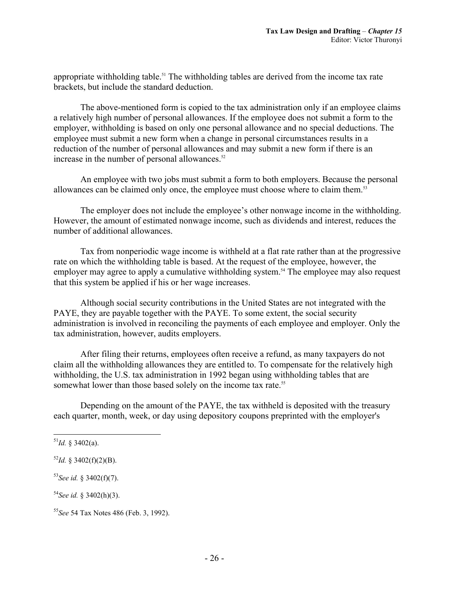appropriate withholding table.<sup>51</sup> The withholding tables are derived from the income tax rate brackets, but include the standard deduction.

 The above-mentioned form is copied to the tax administration only if an employee claims a relatively high number of personal allowances. If the employee does not submit a form to the employer, withholding is based on only one personal allowance and no special deductions. The employee must submit a new form when a change in personal circumstances results in a reduction of the number of personal allowances and may submit a new form if there is an increase in the number of personal allowances.<sup>52</sup>

 An employee with two jobs must submit a form to both employers. Because the personal allowances can be claimed only once, the employee must choose where to claim them.<sup>53</sup>

 The employer does not include the employee's other nonwage income in the withholding. However, the amount of estimated nonwage income, such as dividends and interest, reduces the number of additional allowances.

 Tax from nonperiodic wage income is withheld at a flat rate rather than at the progressive rate on which the withholding table is based. At the request of the employee, however, the employer may agree to apply a cumulative withholding system.<sup>54</sup> The employee may also request that this system be applied if his or her wage increases.

 Although social security contributions in the United States are not integrated with the PAYE, they are payable together with the PAYE. To some extent, the social security administration is involved in reconciling the payments of each employee and employer. Only the tax administration, however, audits employers.

 After filing their returns, employees often receive a refund, as many taxpayers do not claim all the withholding allowances they are entitled to. To compensate for the relatively high withholding, the U.S. tax administration in 1992 began using withholding tables that are somewhat lower than those based solely on the income tax rate.<sup>55</sup>

 Depending on the amount of the PAYE, the tax withheld is deposited with the treasury each quarter, month, week, or day using depository coupons preprinted with the employer's

 $\overline{a}$ 

<sup>53</sup>*See id.* § 3402(f)(7).

 $^{51}$ *Id.* § 3402(a).

 $52$ *Id.* § 3402(f)(2)(B).

<sup>54</sup>*See id.* § 3402(h)(3).

<sup>55</sup>*See* 54 Tax Notes 486 (Feb. 3, 1992).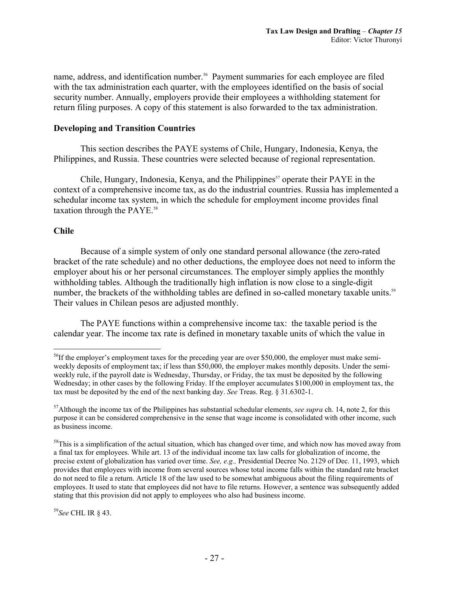name, address, and identification number.<sup>56</sup> Payment summaries for each employee are filed with the tax administration each quarter, with the employees identified on the basis of social security number. Annually, employers provide their employees a withholding statement for return filing purposes. A copy of this statement is also forwarded to the tax administration.

#### **Developing and Transition Countries**

 This section describes the PAYE systems of Chile, Hungary, Indonesia, Kenya, the Philippines, and Russia. These countries were selected because of regional representation.

Chile, Hungary, Indonesia, Kenya, and the Philippines<sup>57</sup> operate their PAYE in the context of a comprehensive income tax, as do the industrial countries. Russia has implemented a schedular income tax system, in which the schedule for employment income provides final taxation through the PAYE.<sup>58</sup>

### **Chile**

 $\overline{a}$ 

 Because of a simple system of only one standard personal allowance (the zero-rated bracket of the rate schedule) and no other deductions, the employee does not need to inform the employer about his or her personal circumstances. The employer simply applies the monthly withholding tables. Although the traditionally high inflation is now close to a single-digit number, the brackets of the withholding tables are defined in so-called monetary taxable units.<sup>59</sup> Their values in Chilean pesos are adjusted monthly.

 The PAYE functions within a comprehensive income tax: the taxable period is the calendar year. The income tax rate is defined in monetary taxable units of which the value in

<sup>59</sup>*See* CHL IR § 43.

<sup>&</sup>lt;sup>56</sup>If the employer's employment taxes for the preceding year are over \$50,000, the employer must make semiweekly deposits of employment tax; if less than \$50,000, the employer makes monthly deposits. Under the semiweekly rule, if the payroll date is Wednesday, Thursday, or Friday, the tax must be deposited by the following Wednesday; in other cases by the following Friday. If the employer accumulates \$100,000 in employment tax, the tax must be deposited by the end of the next banking day. *See* Treas. Reg. § 31.6302-1.

<sup>57</sup>Although the income tax of the Philippines has substantial schedular elements, *see supra* ch. 14, note 2, for this purpose it can be considered comprehensive in the sense that wage income is consolidated with other income, such as business income.

 $58$ This is a simplification of the actual situation, which has changed over time, and which now has moved away from a final tax for employees. While art. 13 of the individual income tax law calls for globalization of income, the precise extent of globalization has varied over time. *See, e.g.,* Presidential Decree No. 2129 of Dec. 11, 1993, which provides that employees with income from several sources whose total income falls within the standard rate bracket do not need to file a return. Article 18 of the law used to be somewhat ambiguous about the filing requirements of employees. It used to state that employees did not have to file returns. However, a sentence was subsequently added stating that this provision did not apply to employees who also had business income.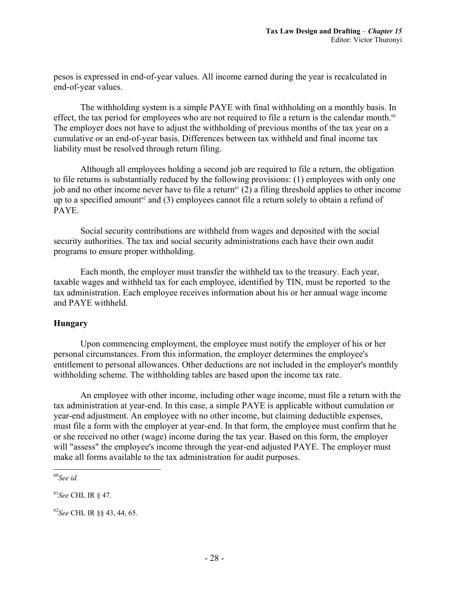pesos is expressed in end-of-year values. All income earned during the year is recalculated in end-of-year values.

 The withholding system is a simple PAYE with final withholding on a monthly basis. In effect, the tax period for employees who are not required to file a return is the calendar month.<sup>60</sup> The employer does not have to adjust the withholding of previous months of the tax year on a cumulative or an end-of-year basis. Differences between tax withheld and final income tax liability must be resolved through return filing.

 Although all employees holding a second job are required to file a return, the obligation to file returns is substantially reduced by the following provisions: (1) employees with only one job and no other income never have to file a return<sup> $61$ </sup> (2) a filing threshold applies to other income up to a specified amount<sup>62</sup> and (3) employees cannot file a return solely to obtain a refund of PAYE.

 Social security contributions are withheld from wages and deposited with the social security authorities. The tax and social security administrations each have their own audit programs to ensure proper withholding.

 Each month, the employer must transfer the withheld tax to the treasury. Each year, taxable wages and withheld tax for each employee, identified by TIN, must be reported to the tax administration. Each employee receives information about his or her annual wage income and PAYE withheld.

### **Hungary**

 Upon commencing employment, the employee must notify the employer of his or her personal circumstances. From this information, the employer determines the employee's entitlement to personal allowances. Other deductions are not included in the employer's monthly withholding scheme. The withholding tables are based upon the income tax rate.

 An employee with other income, including other wage income, must file a return with the tax administration at year-end. In this case, a simple PAYE is applicable without cumulation or year-end adjustment. An employee with no other income, but claiming deductible expenses, must file a form with the employer at year-end. In that form, the employee must confirm that he or she received no other (wage) income during the tax year. Based on this form, the employer will "assess" the employee's income through the year-end adjusted PAYE. The employer must make all forms available to the tax administration for audit purposes.

 $\overline{a}$ 

<sup>60</sup>*See id.*

<sup>61</sup>*See* CHL IR § 47.

<sup>62</sup>*See* CHL IR §§ 43, 44, 65.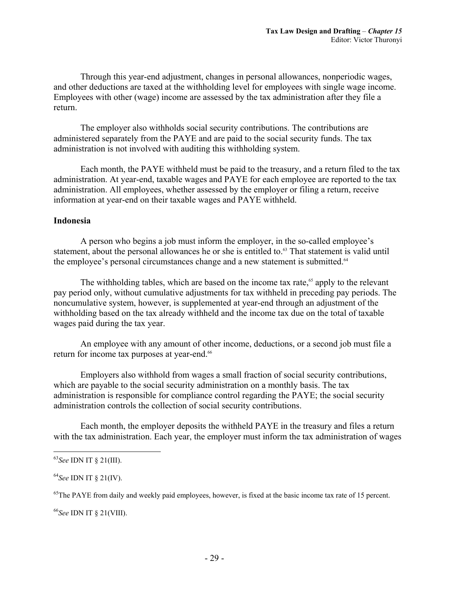Through this year-end adjustment, changes in personal allowances, nonperiodic wages, and other deductions are taxed at the withholding level for employees with single wage income. Employees with other (wage) income are assessed by the tax administration after they file a return.

 The employer also withholds social security contributions. The contributions are administered separately from the PAYE and are paid to the social security funds. The tax administration is not involved with auditing this withholding system.

 Each month, the PAYE withheld must be paid to the treasury, and a return filed to the tax administration. At year-end, taxable wages and PAYE for each employee are reported to the tax administration. All employees, whether assessed by the employer or filing a return, receive information at year-end on their taxable wages and PAYE withheld.

#### **Indonesia**

 A person who begins a job must inform the employer, in the so-called employee's statement, about the personal allowances he or she is entitled to.<sup>63</sup> That statement is valid until the employee's personal circumstances change and a new statement is submitted.<sup>64</sup>

The withholding tables, which are based on the income tax rate, $65$  apply to the relevant pay period only, without cumulative adjustments for tax withheld in preceding pay periods. The noncumulative system, however, is supplemented at year-end through an adjustment of the withholding based on the tax already withheld and the income tax due on the total of taxable wages paid during the tax year.

 An employee with any amount of other income, deductions, or a second job must file a return for income tax purposes at year-end.<sup>66</sup>

 Employers also withhold from wages a small fraction of social security contributions, which are payable to the social security administration on a monthly basis. The tax administration is responsible for compliance control regarding the PAYE; the social security administration controls the collection of social security contributions.

 Each month, the employer deposits the withheld PAYE in the treasury and files a return with the tax administration. Each year, the employer must inform the tax administration of wages

<sup>65</sup>The PAYE from daily and weekly paid employees, however, is fixed at the basic income tax rate of 15 percent.

<sup>66</sup>*See* IDN IT § 21(VIII).

<sup>1</sup> <sup>63</sup>*See* IDN IT § 21(III).

<sup>64</sup>*See* IDN IT § 21(IV).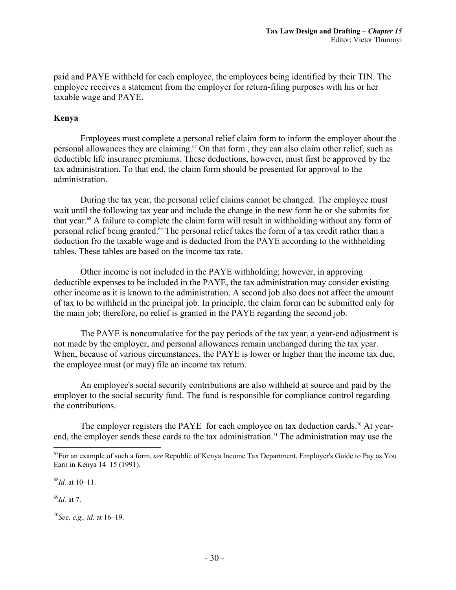paid and PAYE withheld for each employee, the employees being identified by their TIN. The employee receives a statement from the employer for return-filing purposes with his or her taxable wage and PAYE.

### **Kenya**

 Employees must complete a personal relief claim form to inform the employer about the personal allowances they are claiming.<sup>67</sup> On that form, they can also claim other relief, such as deductible life insurance premiums. These deductions, however, must first be approved by the tax administration. To that end, the claim form should be presented for approval to the administration.

 During the tax year, the personal relief claims cannot be changed. The employee must wait until the following tax year and include the change in the new form he or she submits for that year.68 A failure to complete the claim form will result in withholding without any form of personal relief being granted.69 The personal relief takes the form of a tax credit rather than a deduction fro the taxable wage and is deducted from the PAYE according to the withholding tables. These tables are based on the income tax rate.

 Other income is not included in the PAYE withholding; however, in approving deductible expenses to be included in the PAYE, the tax administration may consider existing other income as it is known to the administration. A second job also does not affect the amount of tax to be withheld in the principal job. In principle, the claim form can be submitted only for the main job; therefore, no relief is granted in the PAYE regarding the second job.

 The PAYE is noncumulative for the pay periods of the tax year, a year-end adjustment is not made by the employer, and personal allowances remain unchanged during the tax year. When, because of various circumstances, the PAYE is lower or higher than the income tax due, the employee must (or may) file an income tax return.

 An employee's social security contributions are also withheld at source and paid by the employer to the social security fund. The fund is responsible for compliance control regarding the contributions.

The employer registers the PAYE for each employee on tax deduction cards.<sup>70</sup> At yearend, the employer sends these cards to the tax administration.<sup>71</sup> The administration may use the

<sup>69</sup>*Id.* at 7.

 $\overline{a}$ 

<sup>70</sup>*See, e.g., id.* at 16–19.

<sup>67</sup>For an example of such a form, *see* Republic of Kenya Income Tax Department, Employer's Guide to Pay as You Earn in Kenya 14–15 (1991).

<sup>68</sup>*Id.* at 10–11.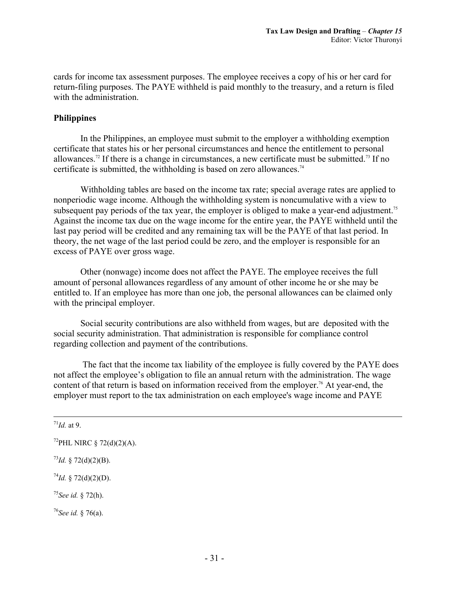cards for income tax assessment purposes. The employee receives a copy of his or her card for return-filing purposes. The PAYE withheld is paid monthly to the treasury, and a return is filed with the administration

### **Philippines**

 In the Philippines, an employee must submit to the employer a withholding exemption certificate that states his or her personal circumstances and hence the entitlement to personal allowances.<sup>72</sup> If there is a change in circumstances, a new certificate must be submitted.<sup>73</sup> If no certificate is submitted, the withholding is based on zero allowances.<sup>74</sup>

 Withholding tables are based on the income tax rate; special average rates are applied to nonperiodic wage income. Although the withholding system is noncumulative with a view to subsequent pay periods of the tax year, the employer is obliged to make a year-end adjustment.<sup>75</sup> Against the income tax due on the wage income for the entire year, the PAYE withheld until the last pay period will be credited and any remaining tax will be the PAYE of that last period. In theory, the net wage of the last period could be zero, and the employer is responsible for an excess of PAYE over gross wage.

 Other (nonwage) income does not affect the PAYE. The employee receives the full amount of personal allowances regardless of any amount of other income he or she may be entitled to. If an employee has more than one job, the personal allowances can be claimed only with the principal employer.

 Social security contributions are also withheld from wages, but are deposited with the social security administration. That administration is responsible for compliance control regarding collection and payment of the contributions.

 The fact that the income tax liability of the employee is fully covered by the PAYE does not affect the employee's obligation to file an annual return with the administration. The wage content of that return is based on information received from the employer.<sup>76</sup> At year-end, the employer must report to the tax administration on each employee's wage income and PAYE

 $^{71}$ *Id.* at 9.

 $72$ PHL NIRC § 72(d)(2)(A).

 $^{73}$ *Id.* § 72(d)(2)(B).

 $^{74}$ *Id.* § 72(d)(2)(D).

<sup>75</sup>*See id.* § 72(h).

<sup>76</sup>*See id.* § 76(a).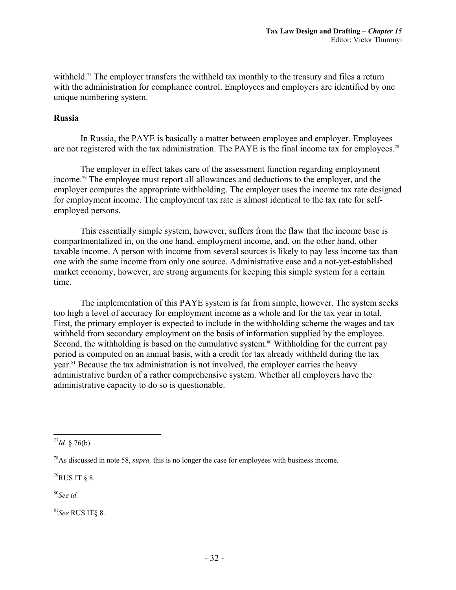withheld.<sup>77</sup> The employer transfers the withheld tax monthly to the treasury and files a return with the administration for compliance control. Employees and employers are identified by one unique numbering system.

### **Russia**

 In Russia, the PAYE is basically a matter between employee and employer. Employees are not registered with the tax administration. The PAYE is the final income tax for employees.<sup>78</sup>

 The employer in effect takes care of the assessment function regarding employment income.79 The employee must report all allowances and deductions to the employer, and the employer computes the appropriate withholding. The employer uses the income tax rate designed for employment income. The employment tax rate is almost identical to the tax rate for selfemployed persons.

 This essentially simple system, however, suffers from the flaw that the income base is compartmentalized in, on the one hand, employment income, and, on the other hand, other taxable income. A person with income from several sources is likely to pay less income tax than one with the same income from only one source. Administrative ease and a not-yet-established market economy, however, are strong arguments for keeping this simple system for a certain time.

 The implementation of this PAYE system is far from simple, however. The system seeks too high a level of accuracy for employment income as a whole and for the tax year in total. First, the primary employer is expected to include in the withholding scheme the wages and tax withheld from secondary employment on the basis of information supplied by the employee. Second, the withholding is based on the cumulative system.<sup>80</sup> Withholding for the current pay period is computed on an annual basis, with a credit for tax already withheld during the tax year.81 Because the tax administration is not involved, the employer carries the heavy administrative burden of a rather comprehensive system. Whether all employers have the administrative capacity to do so is questionable.

 $79$ RUS IT § 8.

<sup>80</sup>*See id.*

<sup>81</sup>*See* RUS IT§ 8.

 $\overline{a}$ <sup>77</sup>*Id.* § 76(b).

<sup>78</sup>As discussed in note 58, *supra,* this is no longer the case for employees with business income.